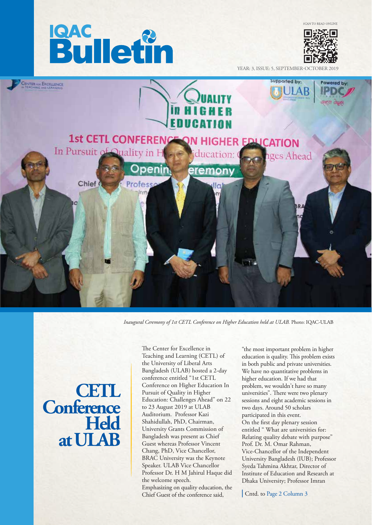



YEAR: 3, ISSUE: 5, SEPTEMBER-0



*Inaugural Ceremony of 1st CETL Conference on Higher Education held at ULAB.* Photo: IQAC-ULAB

**CETL Conference Held at ULAB**

The Center for Excellence in Teaching and Learning (CETL) of the University of Liberal Arts Bangladesh (ULAB) hosted a 2-day conference entitled "1st CETL Conference on Higher Education In Pursuit of Quality in Higher Education: Challenges Ahead" on 22 to 23 August 2019 at ULAB Auditorium. Professor Kazi Shahidullah, PhD, Chairman, University Grants Commission of Bangladesh was present as Chief Guest whereas Professor Vincent Chang, PhD, Vice Chancellor, BRAC University was the Keynote Speaker. ULAB Vice Chancellor Professor Dr. H M Jahirul Haque did the welcome speech. Emphasizing on quality education, the Chief Guest of the conference said,

"the most important problem in higher education is quality. This problem exists in both public and private universities. We have no quantitative problems in higher education. If we had that problem, we wouldn't have so many universities". There were two plenary sessions and eight academic sessions in two days. Around 50 scholars participated in this event. On the first day plenary session entitled " What are universities for: Relating quality debate with purpose" Prof. Dr. M. Omar Rahman, Vice-Chancellor of the Independent University Bangladesh (IUB); Professor Syeda Tahmina Akhtar, Director of Institute of Education and Research at Dhaka University; Professor Imran

Cntd. to Page 2 Column 3